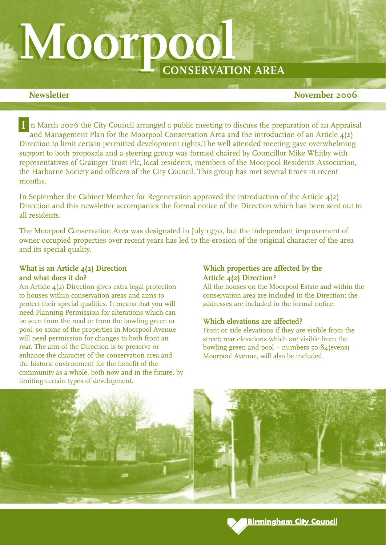# **M Moorpool oorpool CONSERVATION AREA**

**Newsletter** November 2006

n March 2006 the City Council arranged a public meeting to discuss the preparation of an Appraisal **I**and Management Plan for the Moorpool Conservation Area and the introduction of an Article 4(2) Direction to limit certain permitted development rights.The well attended meeting gave overwhelming support to both proposals and a steering group was formed chaired by Councillor Mike Whitby with representatives of Grainger Trust Plc, local residents, members of the Moorpool Residents Association, the Harborne Society and officers of the City Council. This group has met several times in recent months.

In September the Cabinet Member for Regeneration approved the introduction of the Article 4(2) Direction and this newsletter accompanies the formal notice of the Direction which has been sent out to all residents.

The Moorpool Conservation Area was designated in July 1970, but the independant improvement of owner occupied properties over recent years has led to the erosion of the original character of the area and its special quality.

# **What is an Article 4(2) Direction and what does it do?**

An Article 4(2) Direction gives extra legal protection to houses within conservation areas and aims to protect their special qualities. It means that you will need Planning Permission for alterations which can be seen from the road or from the bowling green or pool, so some of the properties in Moorpool Avenue will need permission for changes to both front an rear. The aim of the Direction is to preserve or enhance the character of the conservation area and the historic environment for the benefit of the community as a whole, both now and in the future, by limiting certain types of development.

# **Which properties are affected by the Article 4(2) Direction?**

All the houses on the Moorpool Estate and within the conservation area are included in the Direction; the addresses are included in the formal notice.

# **Which elevations are affected?**

Front or side elevations if they are visible from the street; rear elevations which are visible from the bowling green and pool – numbers  $50-84$  (evens) Moorpool Avenue, will also be included.